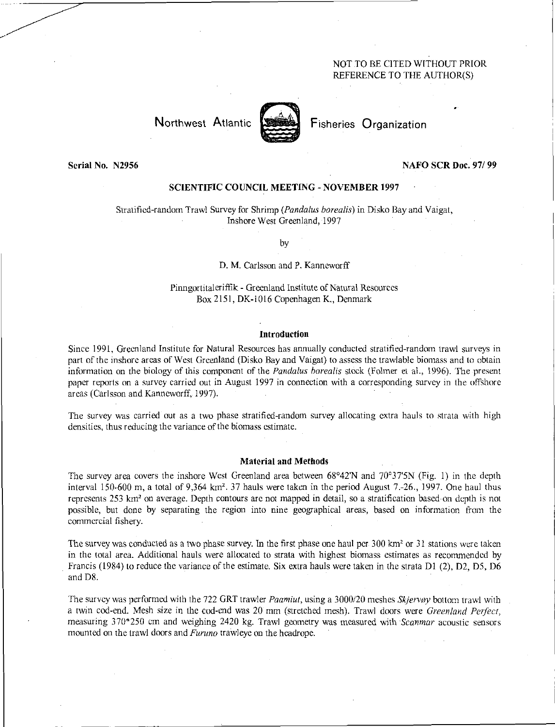# NOT TO BE CITED WITHOUT PRIOR REFERENCE TO THE AUTHOR(S)

# Northwest Atlantic **Second** Fisheries Organization



## Serial No. N2956 NAFO **SCR Doc. 97/ 99**

# **SCIENTIFIC COUNCIL MEETING - NOVEMBER 1997**

Stratified-random Trawl Survey for Shrimp *(Pandalus borealis)* in Disko Bay and Vaigat, Inshore West Greenland, 1997

by

## D. M. Carlsson and P. Kanneworff

Pinngortitaleriffik - Greenland Institute of Natural Resources Box 2151, DK-1016 Copenhagen K., Denmark

### **Introduction**

Since 1991, Greenland Institute for Natural Resources has annually conducted stratified-random trawl surveys in part of the inshore areas of West Greenland (Disko Bay and Vaigat) to assess the trawlable biomass and to obtain information on the biology of this component of the *Pandalus borealis* stock (Folmer et al., 1996). The present paper reports on a survey carried out in August 1997 in connection with a corresponding survey in the offshore areas (Carlsson and Kanneworff, 1997).

The survey was carried out as a two phase stratified-random survey allocating extra hauls to strata with high densities, thus reducing the variance of the biomass estimate.

## **Material and Methods**

The survey area covers the inshore West Greenland area between 68°42'N and 70°375N (Fig. 1) in the depth interval 150-600 m, a total of 9,364 km<sup>2</sup>. 37 hauls were taken in the period August 7.-26., 1997. One haul thus represents 253 km<sup>2</sup> on average. Depth contours are not mapped in detail, so a stratification based on depth is not possible, but done by separating the region into nine geographical areas, based on information from the commercial fishery.

The survey was conducted as a two phase survey. In the first phase one haul per 300 km<sup>2</sup> or 31 stations were taken in the total area. Additional hauls were allocated to strata with highest biomass estimates as recommended by Francis (1984) to reduce the variance of the estimate. Six extra hauls were taken in the strata Dl (2), D2, D5, D6 and D8.

The survey was performed with the 722 GRT trawler *Paamiut,* using a 3000/20 meshes *Skjervoy* bottom trawl with a twin cod-end. Mesh size in the cod-end was 20 mm (stretched mesh). Trawl doors were *Greenland Perfect,*  measuring 370\*250 cm and weighing 2420 kg. Trawl geometry was measured with *Scanmar* acoustic sensors mounted on the trawl doors and *Furuno* trawleye on the headrope.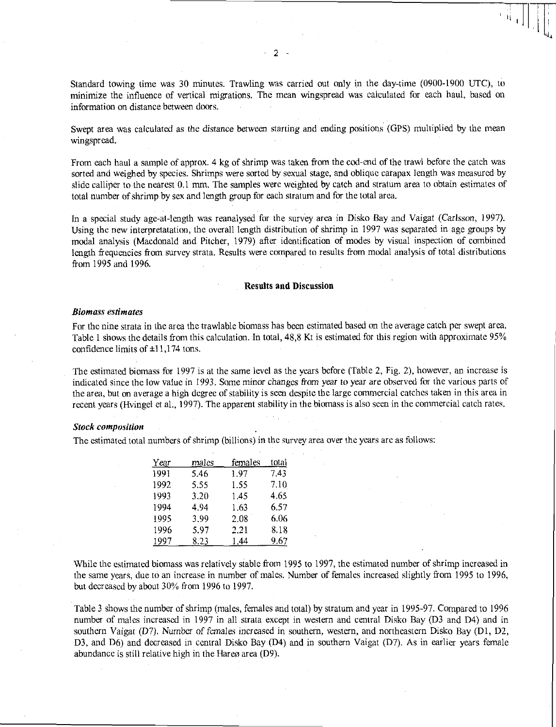Standard towing time was 30 minutes. Trawling was carried out only in the day-time (0900-1900 UTC), to minimize the influence of vertical migrations. The mean wingspread was calculated for each haul, based on information on distance between doors.

Swept area was calculated as the distance *between* starting and ending positions (GPS) multiplied by the mean wingspread.

From each haul a sample of approx. 4 kg of shrimp was taken from the cod-end of the trawl before the catch was sorted and weighed by species. Shrimps were sorted by sexual stage, and oblique carapax length was measured by slide calliper to the nearest 0.1 mm. The samples were weighted by catch and stratum area to obtain estimates of total number of shrimp by sex and length group for each stratum and for the total area.

In a special study age-at-length was reanalysed for the survey area in Disko Bay and Vaigat *(Carlsson,* 1997). Using the new interpretatation, the overall length distribution of shrimp in 1997 was separated in age groups by modal analysis (Macdonald and Pitcher, 1979) after identification of modes by visual inspection of combined length frequencies from survey strata. Results were compared to results from modal analysis of total distributions from 1995 and 1996.

#### Results and Discussion

#### *Biomass estimates*

For the nine strata in the area the trawlable biomass has been estimated based on the average catch per swept area. Table 1 shows the details from this calculation. In total, 48,8 Kt is estimated for this region with approximate 95% confidence limits of ±11,174 tons.

The estimated biomass for 1997 is at the same level as the years before (Table 2, Fig. 2), however, an increase is indicated since the low value in 1993. Some minor changes from *year* to year are observed for the various parts of the area, but on average a high degree of stability is seen despite the large commercial catches taken in this area in recent years (Hvingel et al., 1997). The apparent stability in the biomass is also seen in the commercial catch rates.

#### *Stock composition*

The estimated total numbers of shrimp (billions) in the survey area over the years are as follows:

| Year | males | females | <u>tot</u> al |
|------|-------|---------|---------------|
| 1991 | 5.46  | 1.97    | 7.43          |
| 1992 | 5.55  | 1.55    | 7.10          |
| 1993 | 3.20  | 1.45    | 4.65          |
| 1994 | 4.94  | 1.63    | 6.57          |
| 1995 | 3.99  | 2.08    | 6.06          |
| 1996 | 5.97  | 2.21    | 8.18          |
| 1997 | 8.23  | 1.44    | 9.67          |

While the estimated biomass was relatively stable from 1995 to 1997, the estimated number of shrimp increased in the same years, due to an increase in number of males. Number of females increased slightly from 1995 to 1996, but decreased by about 30% from 1996 to 1997.

Table 3 shows the number of shrimp (males, females and total) by stratum and year in 1995-97. Compared to 1996 number of males increased in 1997 in all strata except in western and central Disko Bay (D3 and D4) and in southern Vaigat (D7). Number of *females* increased in southern, western, and northeastern Disko Bay (Dl, D2, D3, and D6) and decreased in central Disko Bay (D4) and in southern Vaigat (D7). As in earlier years female abundance is still relative high in the Hareø area (D9).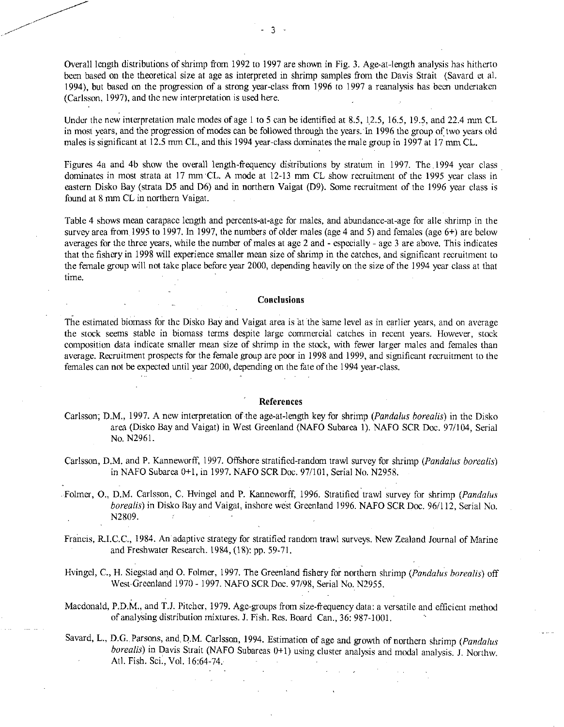Overall length distributions of shrimp from 1992 to 1997 are shown in Fig. 3. Age-at-length analysis has hitherto been based on the theoretical size at age as interpreted in shrimp samples from the Davis Strait (Savard et al. 1994), but based on the progression of a strong year-class from 1996 to 1997 a reanalysis has been undertaken (Carlsson, 1997), and the new interpretation is used here.

Under the new interpretation male modes of age 1 to 5 can be identified at 8.5, 12.5, 16.5, 19.5, and 22.4 mm CL in most years, and the progression of modes can be followed through the years. In 1996 the group of two years old males is significant at 12.5 mm CL, and this 1994 year-class dominates the male group in 1997 at 17 mm CL.

Figures 4a and 4b show the overall length-frequency diStributions by stratum in 1997. The 1994 year class dominates in most strata at 17 mm CL. A mode at 12-13 mm CL show recruitment of the 1995 year class in eastern Disko Bay (strata D5 and D6) and in northern Vaigat (D9). Some recruitment of the 1996 year class is found at 8 mm CL in northern Vaigat.

Table 4 shows mean carapace length and percents-at-age for males, and abundance-at-age for alle shrimp in the survey area from 1995 to 1997. In 1997, the numbers of older males (age 4 and 5) and females (age 6+) are below averages for the three years, while the number of males at age 2 and - especially - age 3 are above. This indicates that the fishery in 1998 will experience smaller mean size of shrimp in the catches, and significant recruitment to the female group will not take place before year 2000, depending heavily on the size of the 1994 year class at that time.

## Conclusions

The estimated biomass for the Disko Bay and Vaigat area is at the same level as in earlier years, and on average the stock seems stable in biomass terms despite large commercial catches in recent years. However, stock composition data indicate smaller mean size of shrimp in the stock, with fewer larger males and females than average. Recruitment prospects for the female group are poor in 1998 and 1999, and significant recruitment to the females can not be expected until year 2000, depending on the fate of the 1994 year-class.

#### References

- Carlsson, D.M., 1997. A new interpretation of-the age-at-length key for shrimp *(Pandalus borealis)* in the Disko area (Disko Bay and Vaigat) in West Greenland (NAFO Subarea 1). NAFO SCR Doc. 97/104, Serial No. N2961.
- Carlsson, D.M. and P. Kanneworff, 1997. Offshore stratified-random trawl survey for shrimp *(Pandalus borealis)*  in NAFO Subarea 0+1, in 1997. NAFO SCR Doc. 97/101, Serial No. N2958.
- Folmer, 0., D.M. Carlsson, C. Hvingel and P. Kanneworff, 1996. Stratified trawl survey for shrimp *(Pandalus borealis)* in Disko Ray and Vaigat, inshore west Greenland 1996. NAFO SCR Doc. 96/112, Serial No. N2809.  $\sim$

Francis, Ft.I.C.C., 1984. An adaptive strategy for stratified random trawl surveys. New Zealand Journal of Marine and Freshwater Research. 1984, (18): pp. 59-71.

Hvingel, C., H. Siegstad and 0. Folmer, 1997. The Greenland fishery for northern shrimp *(Pandalus borealis)* off West Greenland 1970 - 1997. NAFO SCR Doc. 97/98, Serial No. N2955.

Macdonald, P.D.M., and T.J. Pitcher, 1979. Age-groups from size-frequency data: a versatile and efficient method of analysing distribution mixtures. J. Fish. Res. Board Can., 36: 987-1001.

Savard, L., D.G. Parsons, and, D.M. Carlsson, 1994. Estimation of age and growth of northern shrimp *(Pandalus borealis)* in Davis Strait (NAFO Subareas 0+1) using cluster analysis and modal analysis. J. Northw. Atl. Fish. Sci., Vol. 16:64-74.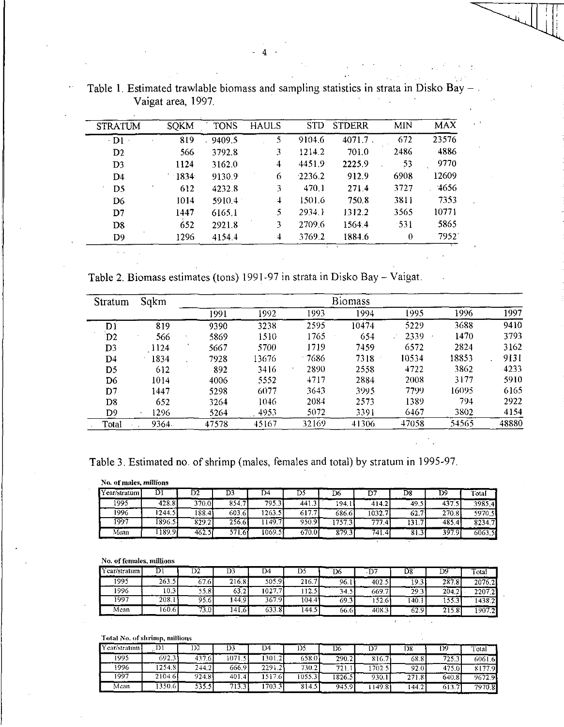| <b>STRATUM</b> | <b>SQKM</b> | <b>TONS</b> | <b>HAULS</b> | <b>STD</b> | <b>STDERR</b> | <b>MIN</b> | <b>MAX</b> |
|----------------|-------------|-------------|--------------|------------|---------------|------------|------------|
| $-D1$          | 819         | 9409.5      | 5            | 9104.6     | $4071.7$ .    | 672        | 23576      |
| D2             | 566         | 3792.8      | 3            | 1214.2     | 701.0         | 2486       | 4886       |
| D <sub>3</sub> | 1124        | 3162.0      | 4            | 4451.9     | 2225.9        | 53         | 9770       |
| D <sub>4</sub> | $-1834$     | 9130.9      | 6            | 2236.2     | 912.9         | 6908       | 12609      |
| D <sub>5</sub> | 612         | 4232.8      | 3            | 470.1      | 271.4         | 3727       | 4656       |
| D <sub>6</sub> | 1014        | 5910.4      | 4            | 1501.6     | 750.8         | 3811       | 7353       |
| D7             | 1447        | 6165.1      | 5            | 2934.1     | 1312.2        | 3565       | 10771      |
| D <sub>8</sub> | 652         | 2921.8      | 3            | 2709.6     | 1564.4        | -531       | 5865       |
| D <sub>9</sub> | 1296        | 41544       | 4            | 3769.2     | 1884.6        | $\theta$   | 7952       |

Table 1. Estimated trawlable biomass and sampling statistics in strata in Disko Bay - Vaigat area, 1997.

Table 2. Biomass estimates (tons) 1991-97 in strata in Disko Bay - Vaigat.

| Stratum        | Sqkm  |       |       |         | <b>Biomass</b> |       |       |       |
|----------------|-------|-------|-------|---------|----------------|-------|-------|-------|
|                |       | 1991  | 1992  | 1993    | 1994           | 1995  | 1996  | 1997  |
| D1             | 819   | 9390  | 3238  | 2595    | 10474          | 5229  | 3688  | 9410  |
| $\mathbf{D2}$  | 566   | 5869  | 1510  | 1765    | 654            | 2339  | 1470  | 3793  |
| D <sub>3</sub> | 1124  | 5667  | 5700  | 1719    | 7459.          | 6572  | 2824  | 3162  |
| D4             | 1834  | 7928  | 13676 | $-7686$ | $7318 -$       | 10534 | 18853 | 9131  |
| D5             | 612   | 892   | 3416  | 2890    | 2558           | 4722  | 3862  | 4233  |
| D <sub>6</sub> | 1014  | 4006  | 5552  | 4717    | 2884           | 2008  | 3177  | 5910  |
| D7             | 1447  | 5298  | 6077  | 3643    | 3995           | 7799. | 16095 | 6165  |
| D8             | 652   | 3264  | 1046  | 2084    | 2573           | 1389  | 794   | 2922  |
| D9.            | 1296  | 5264  | 4953  | 5072    | 3391           | 6467  | 3802  | 4154  |
| Total          | 9364. | 47578 | 45167 | 32169   | 41306          | 47058 | 54565 | 48880 |

Table 3. Estimated no. of shrimp (males, females and total) by stratum in 1995-97.

 $\hat{\mathcal{A}}$ 

| No. of males, millions |  |
|------------------------|--|
|                        |  |
|                        |  |

| ( ear/stratum l | וע     | υz              | υ.           |         | Dυ                           | D6     |                  | D8    | ע      | $\overline{\phantom{a}}$ otal |
|-----------------|--------|-----------------|--------------|---------|------------------------------|--------|------------------|-------|--------|-------------------------------|
| 1995            | 428.81 | 370.01          | 854.7<br>-71 | 795.3   | -441.5                       | 194.   | 414.2            | 49.5  | 437.   | 3985.4                        |
| 1996            | 244.5  | $188.4^{\circ}$ | 603.6        | 1263.5  | $\sim$ $\sim$ $\sim$<br>617. | 686.61 | 1032.7           | 62.7' | 270.8  | 5970.5                        |
| 1997            | 1896.5 | 829.21          | 256.6        | 149.7   | 950.9                        | 757    | 777<br>$\cdot$ 4 | ו בו  | 485.4' | 8234.7                        |
| Mean            | 189.9  | -462. .         | 571.61       | 1069.51 | 670.0                        | 879.3  | 741.4            | 81.3  | 397.9  | 6063.5                        |

No. of females, millions

| Y ear/stratum | ا مما | IJΖ   | D3           | D4    | D5    | D6   | ◡      | D8    | DS    | T <sub>otal</sub> |
|---------------|-------|-------|--------------|-------|-------|------|--------|-------|-------|-------------------|
| '995          | 263.5 | 67.6  | 216.8        | 505.9 | 216.7 | 96.1 | 402.   | 19.3  | 287.8 | 2076.2            |
| 996           | 10.3  | 55.8  | 63.2         | 1027. | 12.5  | 34.5 | 669.7  | 29.3  | 204.2 | 22072             |
| 1997          | 208.1 | 95.6  | 44.9         | 367.9 | 104.4 | 693  | .52.6' | 140.1 | 1553  | 1438.2            |
| Mean          | ا60.6 | 73.01 | $14\sqrt{6}$ | 533.8 | 144.5 | 66.6 | 408.3  | 62.9  | 215.8 | 1907.2            |

|              | Total No. of shrimp, millions |        |         |         |        |        |        |        |        |        |
|--------------|-------------------------------|--------|---------|---------|--------|--------|--------|--------|--------|--------|
| Year/stratum | 1) 1                          | D2     | D3      | D4      | 1)5    | D6     | D7     | 158    | D9     | Total  |
| 1995         | 692.31                        | 437.6  | 1071.51 | [301.2] | 658.01 | 290.2  | 816.7  | 68.8   | 725.3  | 60616  |
| 1996         | 1254.81                       | 244.2  | 666.9   | 2291.2  | 730.21 | 721.   | 1702.5 | 92.0   | 475.01 | 8177.9 |
| 1997         | 2104.6                        | 924.81 | 401.4   | 517.6   | 1055.3 | 1826.5 | 930.1  | 271.81 | 640.3  | 96729  |
| Mean         | 350.61                        | 535.51 | 713.3   | 703.3   | 814.5  | 945.9  | 149.8  | 144.2  | 613.7  | 7970.8 |

 $-4$  -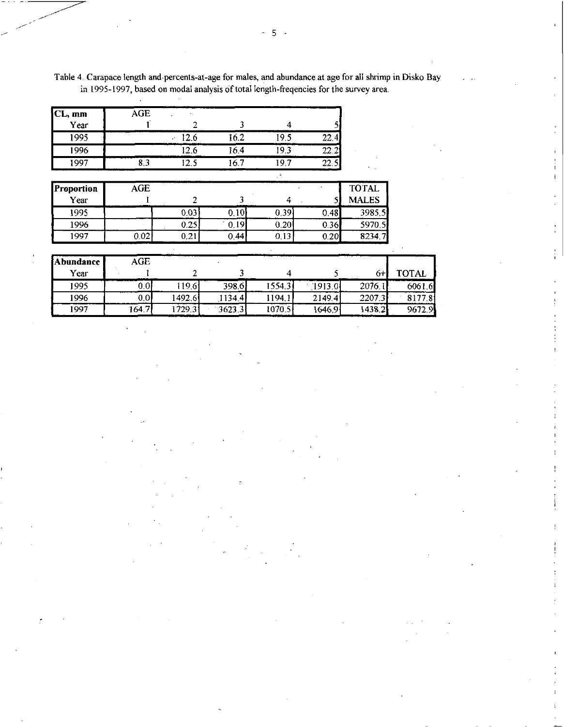| CL, mm | <b>AGE</b> |     |      |         |       |
|--------|------------|-----|------|---------|-------|
| Year   |            |     |      |         |       |
| 1995   |            | 2.6 | 16.2 | ؛ 9     | 22.4  |
| 1996   |            | Z.O | 164  |         | 22.2  |
| 1997   | 0.J        |     |      | -9<br>n | 22.3. |

 $\mathcal{L}^{\mathcal{L}}$ 

Table 4. Carapace length and-percents-at-age for males, and abundance at age for all shrimp in Disko Bay in 1995-1997, based on modal analysis of total length-freqencies for the survey area.

| Proportion | AGE  |           |       |      |      | <b>TOTAL</b> |
|------------|------|-----------|-------|------|------|--------------|
| Year       |      |           |       |      |      | <b>MALES</b> |
| 1995       |      | 0.03      | 0.10  | 0.39 | 0.48 | 3985.5       |
| 1996       |      | 0.25      | 0.19' | 0.20 | 0.36 | 5970.5       |
| 1997       | 0.02 | $_{0.21}$ | 0.44  | 0.13 | 0.20 | 8234.7       |

| <b>Abundance</b> | AGE    |         |        |        |         |        |              |
|------------------|--------|---------|--------|--------|---------|--------|--------------|
| Year             |        |         |        |        |         | $6+$   | <b>TOTAL</b> |
| 1995             | 0.01   | 19.6    | 398.6  | 15543  | 1913.0  | 2076.1 | 6061.6       |
| 1996             | 0.01   | 1492.61 | 1134.4 | 1194.1 | 2149.4  | 2207.3 | 8177.8       |
| 1997             | 164.71 | 1729.31 | 3623.3 | 1070.5 | 1646.91 | 1438.2 | 9672.9       |

5 -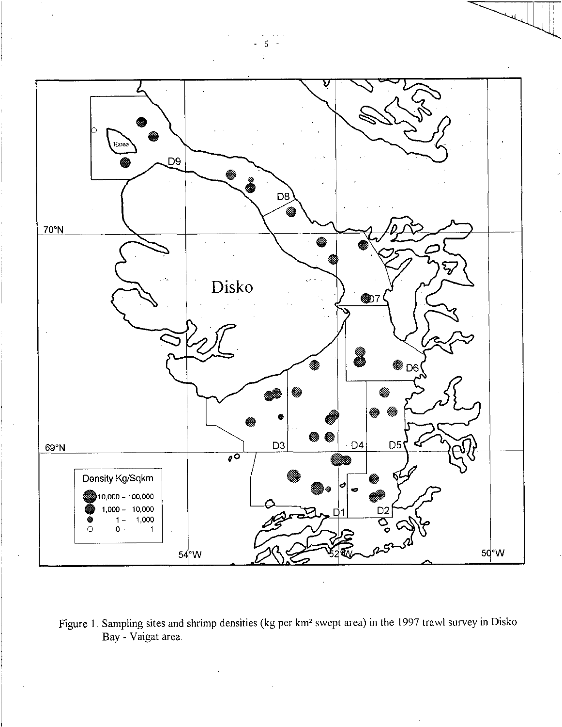

Figure 1. Sampling sites and shrimp densities (kg per km<sup>2</sup> swept area) in the 1997 trawl survey in Disko Bay - Vaigat area.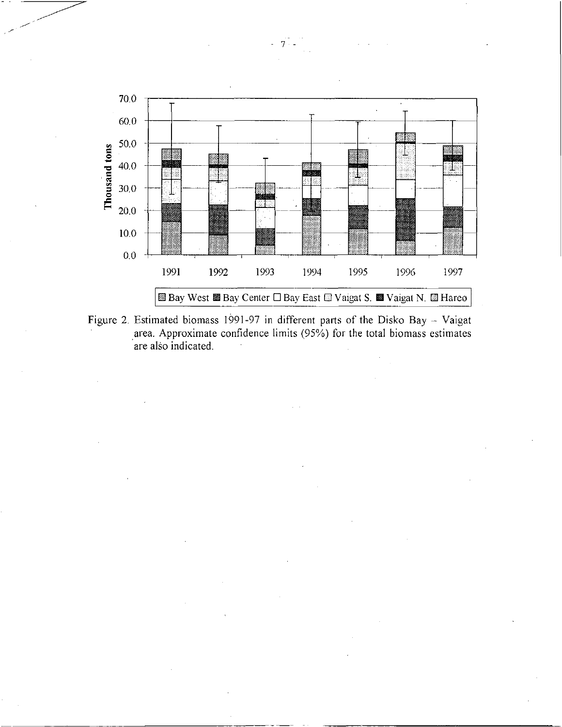

Figure 2. Estimated biomass 1991-97 in different parts of the Disko Bay — Vaigat area. Approximate confidence limits (95%) for the total biomass estimates are also indicated.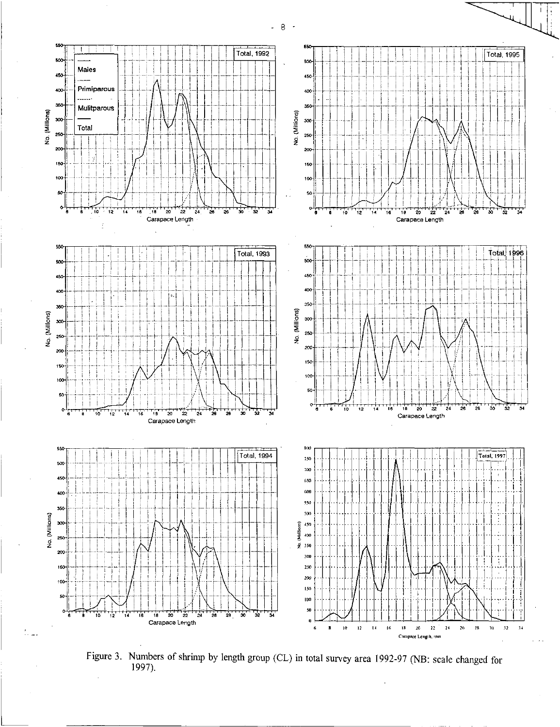

Figure 3. Numbers of shrimp by length group (CL) in total survey area 1992-97 (NB: scale changed for 1997).

\_ 8  $\ddot{\phantom{1}}$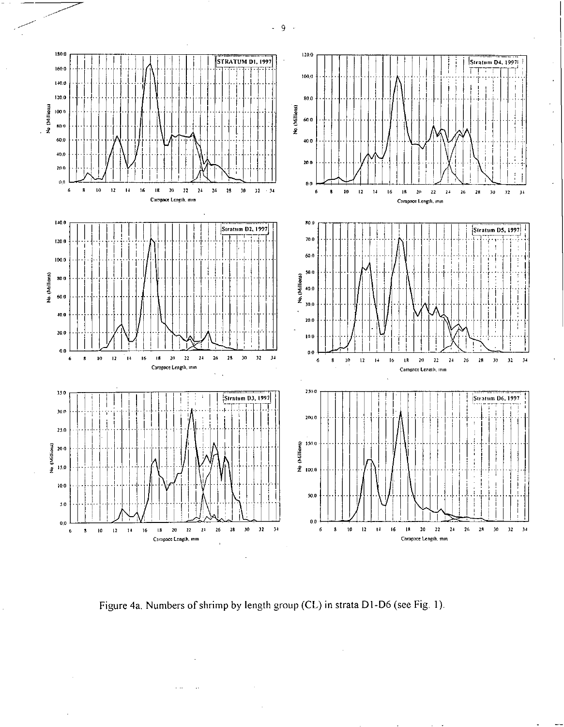$\overline{9}$  $\sim$ 



Figure 4a. Numbers of shrimp by length group (CL) in strata D1-D6 (see Fig. 1).

 $\ddot{\phantom{a}}$